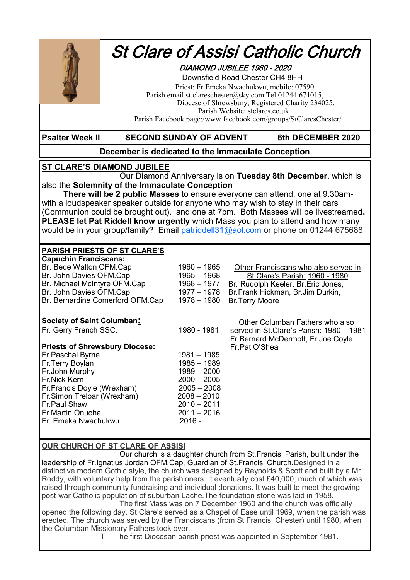

# St Clare of Assisi Catholic Church

### DIAMOND JUBILEE 1960 - 2020

 Downsfield Road Chester CH4 8HH Priest: Fr Emeka Nwachukwu, mobile: 07590 Parish email st.clareschester@sky.com Tel 01244 671015, Diocese of Shrewsbury, Registered Charity 234025. Parish Website: stclares.co.uk Parish Facebook page:/www.facebook.com/groups/StClaresChester/

#### **Psalter Week II SECOND SUNDAY OF ADVENT 6th DECEMBER 2020**

#### **December is dedicated to the Immaculate Conception**

#### **ST CLARE'S DIAMOND JUBILEE**

Our Diamond Anniversary is on **Tuesday 8th December**. which is also the **Solemnity of the Immaculate Conception** 

**There will be 2 public Masses** to ensure everyone can attend, one at 9.30amwith a loudspeaker speaker outside for anyone who may wish to stay in their cars (Communion could be brought out). and one at 7pm. Both Masses will be livestreamed**. PLEASE let Pat Riddell know urgently** which Mass you plan to attend and how many would be in your group/family? Email [patriddell31@aol.com](mailto:patriddell31@aol.com) or phone on 01244 675688

#### **PARISH PRIESTS OF ST CLARE'S**

| <b>Capuchin Franciscans:</b><br>Br. Bede Walton OFM.Cap<br>Br. John Davies OFM.Cap<br>Br. Michael McIntyre OFM.Cap<br>Br. John Davies OFM.Cap<br>Br. Bernardine Comerford OFM.Cap | $1960 - 1965$<br>$1965 - 1968$<br>$1968 - 1977$<br>1977 – 1978<br>1978 - 1980 | Other Franciscans who also served in<br>St. Clare's Parish: 1960 - 1980<br>Br. Rudolph Keeler, Br. Eric Jones,<br>Br.Frank Hickman, Br.Jim Durkin,<br><b>Br.Terry Moore</b> |
|-----------------------------------------------------------------------------------------------------------------------------------------------------------------------------------|-------------------------------------------------------------------------------|-----------------------------------------------------------------------------------------------------------------------------------------------------------------------------|
| <b>Society of Saint Columban:</b>                                                                                                                                                 |                                                                               | Other Columban Fathers who also                                                                                                                                             |
| Fr. Gerry French SSC.                                                                                                                                                             | 1980 - 1981                                                                   | served in St. Clare's Parish: 1980 - 1981<br>Fr.Bernard McDermott, Fr.Joe Coyle                                                                                             |
| <b>Priests of Shrewsbury Diocese:</b>                                                                                                                                             |                                                                               | Fr.Pat O'Shea                                                                                                                                                               |
| Fr.Paschal Byrne                                                                                                                                                                  | 1981 – 1985                                                                   |                                                                                                                                                                             |
| Fr.Terry Boylan                                                                                                                                                                   | $1985 - 1989$                                                                 |                                                                                                                                                                             |
| Fr.John Murphy                                                                                                                                                                    | $1989 - 2000$                                                                 |                                                                                                                                                                             |
| <b>Fr.Nick Kern</b>                                                                                                                                                               | $2000 - 2005$                                                                 |                                                                                                                                                                             |
| Fr.Francis Doyle (Wrexham)                                                                                                                                                        | $2005 - 2008$                                                                 |                                                                                                                                                                             |
| Fr.Simon Treloar (Wrexham)                                                                                                                                                        | $2008 - 2010$                                                                 |                                                                                                                                                                             |
| Fr.Paul Shaw<br>l Fr.Martin Onuoha                                                                                                                                                | $2010 - 2011$<br>$2011 - 2016$                                                |                                                                                                                                                                             |
| l Fr. Emeka Nwachukwu                                                                                                                                                             | $2016 -$                                                                      |                                                                                                                                                                             |
|                                                                                                                                                                                   |                                                                               |                                                                                                                                                                             |

#### **OUR CHURCH OF ST CLARE OF ASSISI**

Our church is a daughter church from St.Francis' Parish, built under the leadership of Fr.Ignatius Jordan OFM.Cap, Guardian of St.Francis' Church.Designed in a distinctive modern Gothic style, the church was designed by Reynolds & Scott and built by a Mr Roddy, with voluntary help from the parishioners. It eventually cost £40,000, much of which was raised through community fundraising and individual donations. It was built to meet the growing post-war Catholic population of suburban Lache.The foundation stone was laid in 1958.

The first Mass was on 7 December 1960 and the church was officially opened the following day. St Clare's served as a Chapel of Ease until 1969, when the parish was erected. The church was served by the Franciscans (from St Francis, Chester) until 1980, when the Columban Missionary Fathers took over.

T he first Diocesan parish priest was appointed in September 1981.